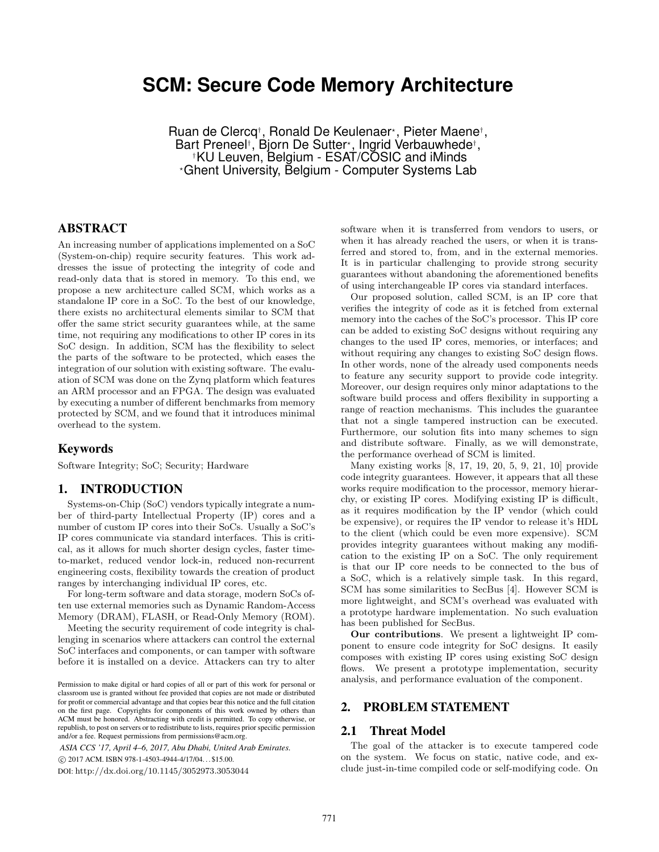# **SCM: Secure Code Memory Architecture**

Ruan de Clercq<sup>†</sup>, Ronald De Keulenaer\*, Pieter Maene<sup>†</sup>, Bart Preneel<sup>†</sup>, Bjorn De Sutter<sup>\*</sup>, Ingrid Verbauwhede<sup>†</sup>, †KU Leuven, Belgium - ESAT/COSIC and iMinds ?Ghent University, Belgium - Computer Systems Lab

# ABSTRACT

An increasing number of applications implemented on a SoC (System-on-chip) require security features. This work addresses the issue of protecting the integrity of code and read-only data that is stored in memory. To this end, we propose a new architecture called SCM, which works as a standalone IP core in a SoC. To the best of our knowledge, there exists no architectural elements similar to SCM that offer the same strict security guarantees while, at the same time, not requiring any modifications to other IP cores in its SoC design. In addition, SCM has the flexibility to select the parts of the software to be protected, which eases the integration of our solution with existing software. The evaluation of SCM was done on the Zynq platform which features an ARM processor and an FPGA. The design was evaluated by executing a number of different benchmarks from memory protected by SCM, and we found that it introduces minimal overhead to the system.

# Keywords

Software Integrity; SoC; Security; Hardware

## 1. INTRODUCTION

Systems-on-Chip (SoC) vendors typically integrate a number of third-party Intellectual Property (IP) cores and a number of custom IP cores into their SoCs. Usually a SoC's IP cores communicate via standard interfaces. This is critical, as it allows for much shorter design cycles, faster timeto-market, reduced vendor lock-in, reduced non-recurrent engineering costs, flexibility towards the creation of product ranges by interchanging individual IP cores, etc.

For long-term software and data storage, modern SoCs often use external memories such as Dynamic Random-Access Memory (DRAM), FLASH, or Read-Only Memory (ROM).

Meeting the security requirement of code integrity is challenging in scenarios where attackers can control the external SoC interfaces and components, or can tamper with software before it is installed on a device. Attackers can try to alter

*ASIA CCS '17, April 4–6, 2017, Abu Dhabi, United Arab Emirates.*

DOI: http://dx.doi.org/10.1145/3052973.3053044

software when it is transferred from vendors to users, or when it has already reached the users, or when it is transferred and stored to, from, and in the external memories. It is in particular challenging to provide strong security guarantees without abandoning the aforementioned benefits of using interchangeable IP cores via standard interfaces.

Our proposed solution, called SCM, is an IP core that verifies the integrity of code as it is fetched from external memory into the caches of the SoC's processor. This IP core can be added to existing SoC designs without requiring any changes to the used IP cores, memories, or interfaces; and without requiring any changes to existing SoC design flows. In other words, none of the already used components needs to feature any security support to provide code integrity. Moreover, our design requires only minor adaptations to the software build process and offers flexibility in supporting a range of reaction mechanisms. This includes the guarantee that not a single tampered instruction can be executed. Furthermore, our solution fits into many schemes to sign and distribute software. Finally, as we will demonstrate, the performance overhead of SCM is limited.

Many existing works [8, 17, 19, 20, 5, 9, 21, 10] provide code integrity guarantees. However, it appears that all these works require modification to the processor, memory hierarchy, or existing IP cores. Modifying existing IP is difficult, as it requires modification by the IP vendor (which could be expensive), or requires the IP vendor to release it's HDL to the client (which could be even more expensive). SCM provides integrity guarantees without making any modification to the existing IP on a SoC. The only requirement is that our IP core needs to be connected to the bus of a SoC, which is a relatively simple task. In this regard, SCM has some similarities to SecBus [4]. However SCM is more lightweight, and SCM's overhead was evaluated with a prototype hardware implementation. No such evaluation has been published for SecBus.

Our contributions. We present a lightweight IP component to ensure code integrity for SoC designs. It easily composes with existing IP cores using existing SoC design flows. We present a prototype implementation, security analysis, and performance evaluation of the component.

#### 2. PROBLEM STATEMENT

#### 2.1 Threat Model

The goal of the attacker is to execute tampered code on the system. We focus on static, native code, and exclude just-in-time compiled code or self-modifying code. On

Permission to make digital or hard copies of all or part of this work for personal or classroom use is granted without fee provided that copies are not made or distributed for profit or commercial advantage and that copies bear this notice and the full citation on the first page. Copyrights for components of this work owned by others than ACM must be honored. Abstracting with credit is permitted. To copy otherwise, or republish, to post on servers or to redistribute to lists, requires prior specific permission and/or a fee. Request permissions from permissions@acm.org.

c 2017 ACM. ISBN 978-1-4503-4944-4/17/04. . . \$15.00.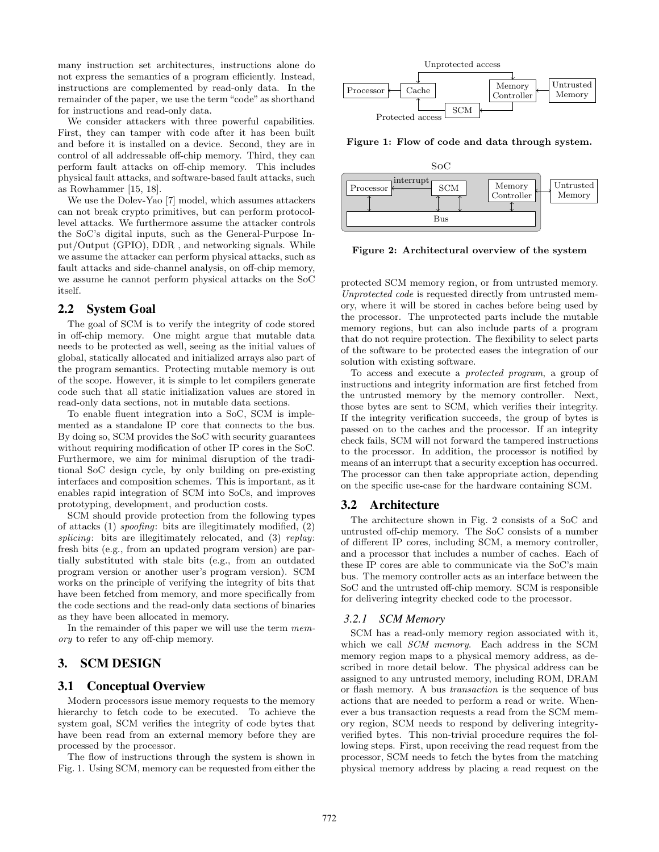many instruction set architectures, instructions alone do not express the semantics of a program efficiently. Instead, instructions are complemented by read-only data. In the remainder of the paper, we use the term "code" as shorthand for instructions and read-only data.

We consider attackers with three powerful capabilities. First, they can tamper with code after it has been built and before it is installed on a device. Second, they are in control of all addressable off-chip memory. Third, they can perform fault attacks on off-chip memory. This includes physical fault attacks, and software-based fault attacks, such as Rowhammer [15, 18].

We use the Dolev-Yao [7] model, which assumes attackers can not break crypto primitives, but can perform protocollevel attacks. We furthermore assume the attacker controls the SoC's digital inputs, such as the General-Purpose Input/Output (GPIO), DDR , and networking signals. While we assume the attacker can perform physical attacks, such as fault attacks and side-channel analysis, on off-chip memory, we assume he cannot perform physical attacks on the SoC itself.

## 2.2 System Goal

The goal of SCM is to verify the integrity of code stored in off-chip memory. One might argue that mutable data needs to be protected as well, seeing as the initial values of global, statically allocated and initialized arrays also part of the program semantics. Protecting mutable memory is out of the scope. However, it is simple to let compilers generate code such that all static initialization values are stored in read-only data sections, not in mutable data sections.

To enable fluent integration into a SoC, SCM is implemented as a standalone IP core that connects to the bus. By doing so, SCM provides the SoC with security guarantees without requiring modification of other IP cores in the SoC. Furthermore, we aim for minimal disruption of the traditional SoC design cycle, by only building on pre-existing interfaces and composition schemes. This is important, as it enables rapid integration of SCM into SoCs, and improves prototyping, development, and production costs.

SCM should provide protection from the following types of attacks (1) spoofing: bits are illegitimately modified, (2) splicing: bits are illegitimately relocated, and (3) replay: fresh bits (e.g., from an updated program version) are partially substituted with stale bits (e.g., from an outdated program version or another user's program version). SCM works on the principle of verifying the integrity of bits that have been fetched from memory, and more specifically from the code sections and the read-only data sections of binaries as they have been allocated in memory.

In the remainder of this paper we will use the term memory to refer to any off-chip memory.

# 3. SCM DESIGN

## 3.1 Conceptual Overview

Modern processors issue memory requests to the memory hierarchy to fetch code to be executed. To achieve the system goal, SCM verifies the integrity of code bytes that have been read from an external memory before they are processed by the processor.

The flow of instructions through the system is shown in Fig. 1. Using SCM, memory can be requested from either the



Figure 1: Flow of code and data through system.



Figure 2: Architectural overview of the system

protected SCM memory region, or from untrusted memory. Unprotected code is requested directly from untrusted memory, where it will be stored in caches before being used by the processor. The unprotected parts include the mutable memory regions, but can also include parts of a program that do not require protection. The flexibility to select parts of the software to be protected eases the integration of our solution with existing software.

To access and execute a protected program, a group of instructions and integrity information are first fetched from the untrusted memory by the memory controller. Next, those bytes are sent to SCM, which verifies their integrity. If the integrity verification succeeds, the group of bytes is passed on to the caches and the processor. If an integrity check fails, SCM will not forward the tampered instructions to the processor. In addition, the processor is notified by means of an interrupt that a security exception has occurred. The processor can then take appropriate action, depending on the specific use-case for the hardware containing SCM.

## 3.2 Architecture

The architecture shown in Fig. 2 consists of a SoC and untrusted off-chip memory. The SoC consists of a number of different IP cores, including SCM, a memory controller, and a processor that includes a number of caches. Each of these IP cores are able to communicate via the SoC's main bus. The memory controller acts as an interface between the SoC and the untrusted off-chip memory. SCM is responsible for delivering integrity checked code to the processor.

#### *3.2.1 SCM Memory*

SCM has a read-only memory region associated with it, which we call *SCM memory*. Each address in the SCM memory region maps to a physical memory address, as described in more detail below. The physical address can be assigned to any untrusted memory, including ROM, DRAM or flash memory. A bus transaction is the sequence of bus actions that are needed to perform a read or write. Whenever a bus transaction requests a read from the SCM memory region, SCM needs to respond by delivering integrityverified bytes. This non-trivial procedure requires the following steps. First, upon receiving the read request from the processor, SCM needs to fetch the bytes from the matching physical memory address by placing a read request on the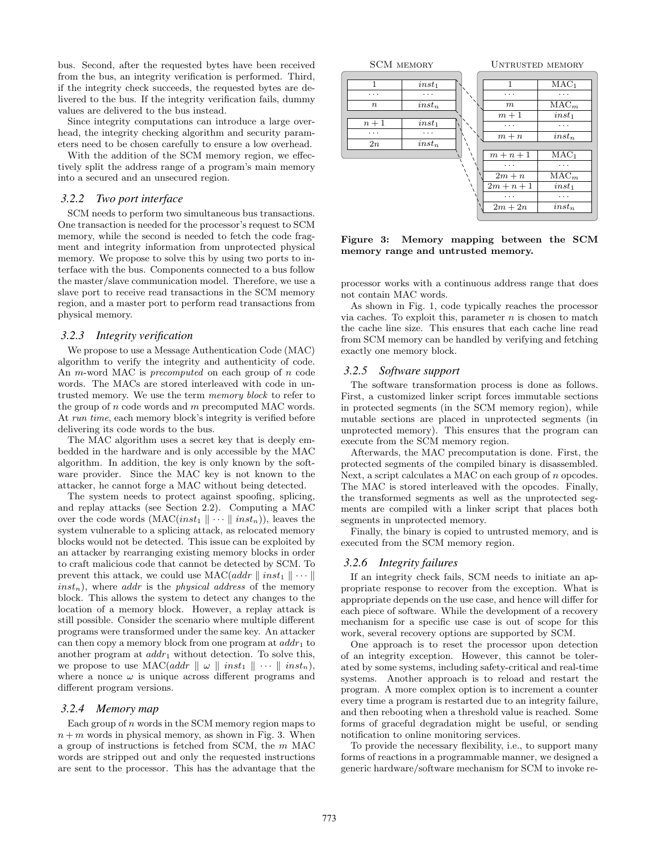bus. Second, after the requested bytes have been received from the bus, an integrity verification is performed. Third, if the integrity check succeeds, the requested bytes are delivered to the bus. If the integrity verification fails, dummy values are delivered to the bus instead.

Since integrity computations can introduce a large overhead, the integrity checking algorithm and security parameters need to be chosen carefully to ensure a low overhead.

With the addition of the SCM memory region, we effectively split the address range of a program's main memory into a secured and an unsecured region.

#### *3.2.2 Two port interface*

SCM needs to perform two simultaneous bus transactions. One transaction is needed for the processor's request to SCM memory, while the second is needed to fetch the code fragment and integrity information from unprotected physical memory. We propose to solve this by using two ports to interface with the bus. Components connected to a bus follow the master/slave communication model. Therefore, we use a slave port to receive read transactions in the SCM memory region, and a master port to perform read transactions from physical memory.

## *3.2.3 Integrity verification*

We propose to use a Message Authentication Code (MAC) algorithm to verify the integrity and authenticity of code. An m-word MAC is precomputed on each group of n code words. The MACs are stored interleaved with code in untrusted memory. We use the term memory block to refer to the group of n code words and m precomputed MAC words. At *run time*, each memory block's integrity is verified before delivering its code words to the bus.

The MAC algorithm uses a secret key that is deeply embedded in the hardware and is only accessible by the MAC algorithm. In addition, the key is only known by the software provider. Since the MAC key is not known to the attacker, he cannot forge a MAC without being detected.

The system needs to protect against spoofing, splicing, and replay attacks (see Section 2.2). Computing a MAC over the code words  $(MAC(inst_1 \parallel \cdots \parallel inst_n))$ , leaves the system vulnerable to a splicing attack, as relocated memory blocks would not be detected. This issue can be exploited by an attacker by rearranging existing memory blocks in order to craft malicious code that cannot be detected by SCM. To prevent this attack, we could use  $MAC(addr \parallel inst_1 \parallel \cdots \parallel$  $inst_n$ ), where addr is the *physical address* of the memory block. This allows the system to detect any changes to the location of a memory block. However, a replay attack is still possible. Consider the scenario where multiple different programs were transformed under the same key. An attacker can then copy a memory block from one program at  $addr_1$  to another program at  $addr_1$  without detection. To solve this, we propose to use MAC(addr  $\parallel \omega \parallel inst_1 \parallel \cdots \parallel inst_n$ ), where a nonce  $\omega$  is unique across different programs and different program versions.

#### *3.2.4 Memory map*

Each group of  $n$  words in the SCM memory region maps to  $n + m$  words in physical memory, as shown in Fig. 3. When a group of instructions is fetched from SCM, the m MAC words are stripped out and only the requested instructions are sent to the processor. This has the advantage that the



Figure 3: Memory mapping between the SCM memory range and untrusted memory.

processor works with a continuous address range that does not contain MAC words.

As shown in Fig. 1, code typically reaches the processor via caches. To exploit this, parameter  $n$  is chosen to match the cache line size. This ensures that each cache line read from SCM memory can be handled by verifying and fetching exactly one memory block.

## *3.2.5 Software support*

The software transformation process is done as follows. First, a customized linker script forces immutable sections in protected segments (in the SCM memory region), while mutable sections are placed in unprotected segments (in unprotected memory). This ensures that the program can execute from the SCM memory region.

Afterwards, the MAC precomputation is done. First, the protected segments of the compiled binary is disassembled. Next, a script calculates a MAC on each group of n opcodes. The MAC is stored interleaved with the opcodes. Finally, the transformed segments as well as the unprotected segments are compiled with a linker script that places both segments in unprotected memory.

Finally, the binary is copied to untrusted memory, and is executed from the SCM memory region.

#### *3.2.6 Integrity failures*

If an integrity check fails, SCM needs to initiate an appropriate response to recover from the exception. What is appropriate depends on the use case, and hence will differ for each piece of software. While the development of a recovery mechanism for a specific use case is out of scope for this work, several recovery options are supported by SCM.

One approach is to reset the processor upon detection of an integrity exception. However, this cannot be tolerated by some systems, including safety-critical and real-time systems. Another approach is to reload and restart the program. A more complex option is to increment a counter every time a program is restarted due to an integrity failure, and then rebooting when a threshold value is reached. Some forms of graceful degradation might be useful, or sending notification to online monitoring services.

To provide the necessary flexibility, i.e., to support many forms of reactions in a programmable manner, we designed a generic hardware/software mechanism for SCM to invoke re-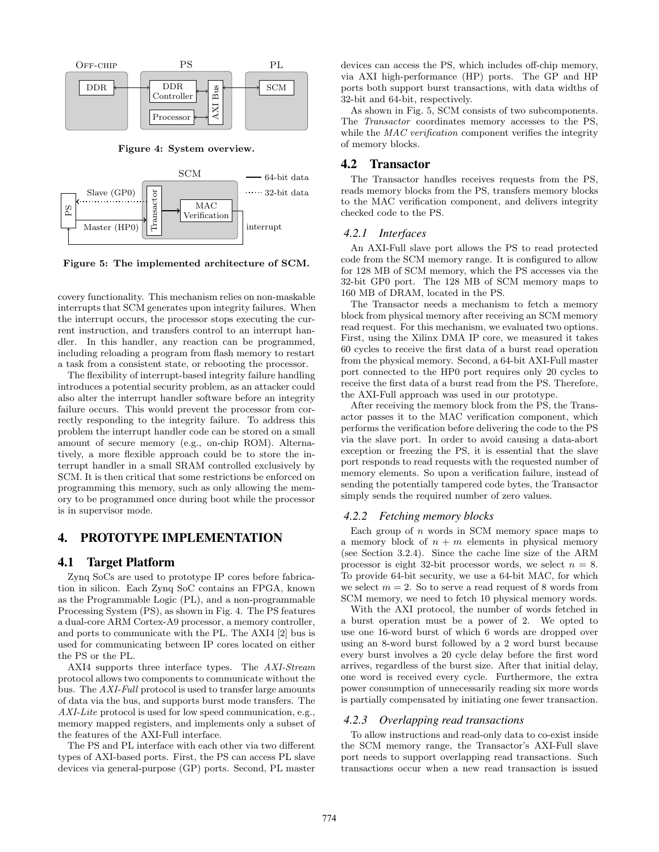

Figure 4: System overview.



Figure 5: The implemented architecture of SCM.

covery functionality. This mechanism relies on non-maskable interrupts that SCM generates upon integrity failures. When the interrupt occurs, the processor stops executing the current instruction, and transfers control to an interrupt handler. In this handler, any reaction can be programmed, including reloading a program from flash memory to restart a task from a consistent state, or rebooting the processor.

The flexibility of interrupt-based integrity failure handling introduces a potential security problem, as an attacker could also alter the interrupt handler software before an integrity failure occurs. This would prevent the processor from correctly responding to the integrity failure. To address this problem the interrupt handler code can be stored on a small amount of secure memory (e.g., on-chip ROM). Alternatively, a more flexible approach could be to store the interrupt handler in a small SRAM controlled exclusively by SCM. It is then critical that some restrictions be enforced on programming this memory, such as only allowing the memory to be programmed once during boot while the processor is in supervisor mode.

## 4. PROTOTYPE IMPLEMENTATION

## 4.1 Target Platform

Zynq SoCs are used to prototype IP cores before fabrication in silicon. Each Zynq SoC contains an FPGA, known as the Programmable Logic (PL), and a non-programmable Processing System (PS), as shown in Fig. 4. The PS features a dual-core ARM Cortex-A9 processor, a memory controller, and ports to communicate with the PL. The AXI4 [2] bus is used for communicating between IP cores located on either the PS or the PL.

AXI4 supports three interface types. The AXI-Stream protocol allows two components to communicate without the bus. The AXI-Full protocol is used to transfer large amounts of data via the bus, and supports burst mode transfers. The AXI-Lite protocol is used for low speed communication, e.g., memory mapped registers, and implements only a subset of the features of the AXI-Full interface.

The PS and PL interface with each other via two different types of AXI-based ports. First, the PS can access PL slave devices via general-purpose (GP) ports. Second, PL master devices can access the PS, which includes off-chip memory, via AXI high-performance (HP) ports. The GP and HP ports both support burst transactions, with data widths of 32-bit and 64-bit, respectively.

As shown in Fig. 5, SCM consists of two subcomponents. The Transactor coordinates memory accesses to the PS, while the MAC verification component verifies the integrity of memory blocks.

## 4.2 Transactor

The Transactor handles receives requests from the PS, reads memory blocks from the PS, transfers memory blocks to the MAC verification component, and delivers integrity checked code to the PS.

#### *4.2.1 Interfaces*

An AXI-Full slave port allows the PS to read protected code from the SCM memory range. It is configured to allow for 128 MB of SCM memory, which the PS accesses via the 32-bit GP0 port. The 128 MB of SCM memory maps to 160 MB of DRAM, located in the PS.

The Transactor needs a mechanism to fetch a memory block from physical memory after receiving an SCM memory read request. For this mechanism, we evaluated two options. First, using the Xilinx DMA IP core, we measured it takes 60 cycles to receive the first data of a burst read operation from the physical memory. Second, a 64-bit AXI-Full master port connected to the HP0 port requires only 20 cycles to receive the first data of a burst read from the PS. Therefore, the AXI-Full approach was used in our prototype.

After receiving the memory block from the PS, the Transactor passes it to the MAC verification component, which performs the verification before delivering the code to the PS via the slave port. In order to avoid causing a data-abort exception or freezing the PS, it is essential that the slave port responds to read requests with the requested number of memory elements. So upon a verification failure, instead of sending the potentially tampered code bytes, the Transactor simply sends the required number of zero values.

#### *4.2.2 Fetching memory blocks*

Each group of  $n$  words in SCM memory space maps to a memory block of  $n + m$  elements in physical memory (see Section 3.2.4). Since the cache line size of the ARM processor is eight 32-bit processor words, we select  $n = 8$ . To provide 64-bit security, we use a 64-bit MAC, for which we select  $m = 2$ . So to serve a read request of 8 words from SCM memory, we need to fetch 10 physical memory words.

With the AXI protocol, the number of words fetched in a burst operation must be a power of 2. We opted to use one 16-word burst of which 6 words are dropped over using an 8-word burst followed by a 2 word burst because every burst involves a 20 cycle delay before the first word arrives, regardless of the burst size. After that initial delay, one word is received every cycle. Furthermore, the extra power consumption of unnecessarily reading six more words is partially compensated by initiating one fewer transaction.

#### *4.2.3 Overlapping read transactions*

To allow instructions and read-only data to co-exist inside the SCM memory range, the Transactor's AXI-Full slave port needs to support overlapping read transactions. Such transactions occur when a new read transaction is issued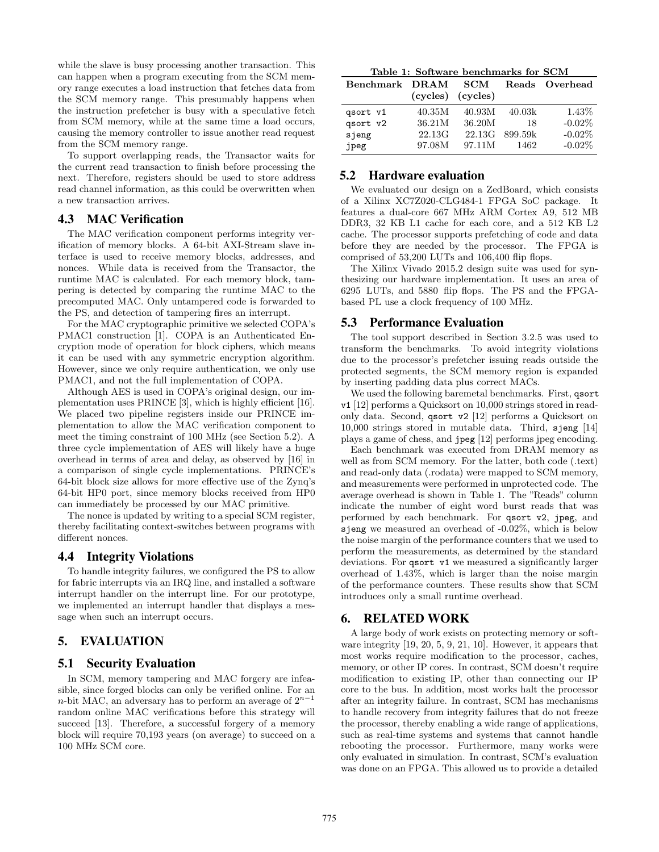while the slave is busy processing another transaction. This can happen when a program executing from the SCM memory range executes a load instruction that fetches data from the SCM memory range. This presumably happens when the instruction prefetcher is busy with a speculative fetch from SCM memory, while at the same time a load occurs, causing the memory controller to issue another read request from the SCM memory range.

To support overlapping reads, the Transactor waits for the current read transaction to finish before processing the next. Therefore, registers should be used to store address read channel information, as this could be overwritten when a new transaction arrives.

## 4.3 MAC Verification

The MAC verification component performs integrity verification of memory blocks. A 64-bit AXI-Stream slave interface is used to receive memory blocks, addresses, and nonces. While data is received from the Transactor, the runtime MAC is calculated. For each memory block, tampering is detected by comparing the runtime MAC to the precomputed MAC. Only untampered code is forwarded to the PS, and detection of tampering fires an interrupt.

For the MAC cryptographic primitive we selected COPA's PMAC1 construction [1]. COPA is an Authenticated Encryption mode of operation for block ciphers, which means it can be used with any symmetric encryption algorithm. However, since we only require authentication, we only use PMAC1, and not the full implementation of COPA.

Although AES is used in COPA's original design, our implementation uses PRINCE [3], which is highly efficient [16]. We placed two pipeline registers inside our PRINCE implementation to allow the MAC verification component to meet the timing constraint of 100 MHz (see Section 5.2). A three cycle implementation of AES will likely have a huge overhead in terms of area and delay, as observed by [16] in a comparison of single cycle implementations. PRINCE's 64-bit block size allows for more effective use of the Zynq's 64-bit HP0 port, since memory blocks received from HP0 can immediately be processed by our MAC primitive.

The nonce is updated by writing to a special SCM register, thereby facilitating context-switches between programs with different nonces.

# 4.4 Integrity Violations

To handle integrity failures, we configured the PS to allow for fabric interrupts via an IRQ line, and installed a software interrupt handler on the interrupt line. For our prototype, we implemented an interrupt handler that displays a message when such an interrupt occurs.

# 5. EVALUATION

# 5.1 Security Evaluation

In SCM, memory tampering and MAC forgery are infeasible, since forged blocks can only be verified online. For an n-bit MAC, an adversary has to perform an average of  $2^{n-1}$ random online MAC verifications before this strategy will succeed [13]. Therefore, a successful forgery of a memory block will require 70,193 years (on average) to succeed on a 100 MHz SCM core.

|  |  |  | Table 1: Software benchmarks for SCM |  |  |  |
|--|--|--|--------------------------------------|--|--|--|
|--|--|--|--------------------------------------|--|--|--|

| Benchmark DRAM |                   | <b>SCM</b> | Reads   | Overhead  |
|----------------|-------------------|------------|---------|-----------|
|                | (cycles) (cycles) |            |         |           |
| qsort v1       | 40.35M            | 40.93M     | 40.03k  | 1.43\%    |
| qsort v2       | 36.21M            | 36.20M     | 18      | $-0.02\%$ |
| sjeng          | 22.13G            | 22.13G     | 899.59k | $-0.02\%$ |
| jpeg           | 97.08M            | 97.11M     | 1462    | $-0.02\%$ |

## 5.2 Hardware evaluation

We evaluated our design on a ZedBoard, which consists of a Xilinx XC7Z020-CLG484-1 FPGA SoC package. It features a dual-core 667 MHz ARM Cortex A9, 512 MB DDR3, 32 KB L1 cache for each core, and a 512 KB L2 cache. The processor supports prefetching of code and data before they are needed by the processor. The FPGA is comprised of 53,200 LUTs and 106,400 flip flops.

The Xilinx Vivado 2015.2 design suite was used for synthesizing our hardware implementation. It uses an area of 6295 LUTs, and 5880 flip flops. The PS and the FPGAbased PL use a clock frequency of 100 MHz.

#### 5.3 Performance Evaluation

The tool support described in Section 3.2.5 was used to transform the benchmarks. To avoid integrity violations due to the processor's prefetcher issuing reads outside the protected segments, the SCM memory region is expanded by inserting padding data plus correct MACs.

We used the following baremetal benchmarks. First, qsort v1 [12] performs a Quicksort on 10,000 strings stored in readonly data. Second, qsort v2 [12] performs a Quicksort on 10,000 strings stored in mutable data. Third, sjeng [14] plays a game of chess, and jpeg [12] performs jpeg encoding.

Each benchmark was executed from DRAM memory as well as from SCM memory. For the latter, both code (.text) and read-only data (.rodata) were mapped to SCM memory, and measurements were performed in unprotected code. The average overhead is shown in Table 1. The "Reads" column indicate the number of eight word burst reads that was performed by each benchmark. For qsort v2, jpeg, and sjeng we measured an overhead of -0.02%, which is below the noise margin of the performance counters that we used to perform the measurements, as determined by the standard deviations. For qsort v1 we measured a significantly larger overhead of 1.43%, which is larger than the noise margin of the performance counters. These results show that SCM introduces only a small runtime overhead.

# 6. RELATED WORK

A large body of work exists on protecting memory or software integrity [19, 20, 5, 9, 21, 10]. However, it appears that most works require modification to the processor, caches, memory, or other IP cores. In contrast, SCM doesn't require modification to existing IP, other than connecting our IP core to the bus. In addition, most works halt the processor after an integrity failure. In contrast, SCM has mechanisms to handle recovery from integrity failures that do not freeze the processor, thereby enabling a wide range of applications, such as real-time systems and systems that cannot handle rebooting the processor. Furthermore, many works were only evaluated in simulation. In contrast, SCM's evaluation was done on an FPGA. This allowed us to provide a detailed